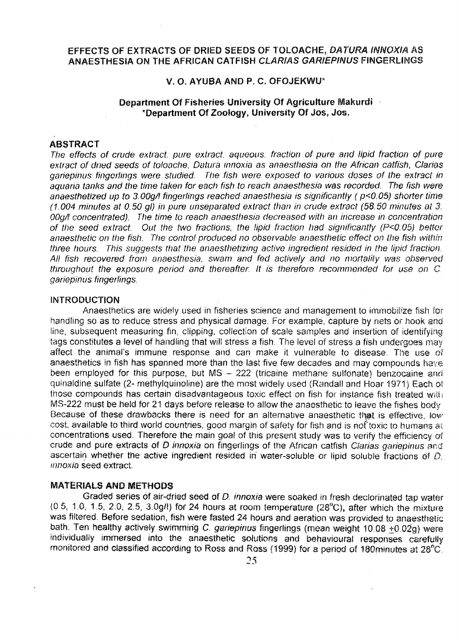# EFFECTS OF EXTRACTS OF DRIED SEEDS OF TOLOACHE, DATURA INNOXIA AS ANAESTHESIA ON THE AFRICAN CATFISH CLARIAS GARIEPINUS FINGERLINGS

### V. O. AYUBA AND P. C. OFOJEKWIf

### Department Of Fisheries University Of Agriculture Makurdi - \*Department Of Zoology, University Of Jos, Jos.

## ABSTRACT

The effects of crude extract, pure extract, aqueous, fraction of pure and lipid fraction of pure extract of dried seeds of toloache, Datura innoxia as anaesthesia on the African catfish, Clarias gariepinus fingerlings were studied. The fish were exposed to various doses of the extract in aquaria tanks and the time taken for each fish to reach anaesthesia was recorded. The fish were anaesthetized up to 3.00g/l fingerlings reached anaesthesia is significantly ( $p$ <0.05) shorter time (1.004 minutes at 0.50 gl) in pure unseparated extract than in crude extract (58.50 minutes at 3. 00g/I concentrated). The time to reach anaesthesia decreased with an increase in concentration of the seed extract. Out the two fractions, the lipid fraction had significantly (P<0.05) better anaesthetic on the fish. The control produced no observable anaesthetic effect on the fish within three hours. This suggests that the anaesthetizing active ingredient resided in the lipid fraction. All fish recovered from anaesthesia, swam and fed actively and no mortality was observed throughout the exposure period and thereafter. lt is therefore recommended for use on C. gariepinus fingerlings.

#### INTRODUCTION

Anaesthetics are widely used in fisheries science and management to immobilize fish for handling so as to reduce stress and physical damage. For example, capture by nets or hook and line, subsequent measuring fin, clipping, collection of scale samples and insertion of identifying tags constitutes a level of handling that will stress a fish. The level of stress a fish undergoes may affect the animal's immune response and can make it vulnerable to disease. The use of anaesthetics in fish has spanned more than the last five few decades and may compounds have been employed for this purpose, but  $MS - 222$  (tricaine methane sulfonate) benzocaine and quinaldine sulfate (2- methylquinoline) are the most widely used (Randall and Hoar 1971) Each ot those compounds has certain disadvantageous toxic effect on fish for instance fish treated MS-222 must be held for 21 days before release to allow the anaesthetic to leave the fishes body Because of these drawbacks there is need for an alternative anaesthetic that is effective, low cost, available to third world countries, good margin of safety for fish and is not toxic to humans at concentrations used. Therefore the main goal of this present study was to verify the efficiency of crude and pure extracts of D innoxia on fingerlings of the African catfish Clarias gariepinus and ascertain whether the active ingredient resided in water-soluble or lipid soluble fractions of  $D$ . innoxia seed extract.

#### MATERIALS AND METHODS

Graded series of air-dried seed of D. innoxia were soaked in fresh declorinated tap water (0 5, 1.0, 1.5, 2.0, 2.5, 3.0g/t) for 24 hours at room temperature (28°C), after which the mixture was filtered. Before sedation, fish were fasted 24 hours and aeration was provided to anaesthetic bath. Ten healthy actively swimming C. gariepinus fingerlings (mean weight 10.08 +0.02g) were individually immersed into the anaesthetic solutions and behavioural responses carefully monitored and classified according to Ross and Ross (1999) for a period of 180minutes at 28°C.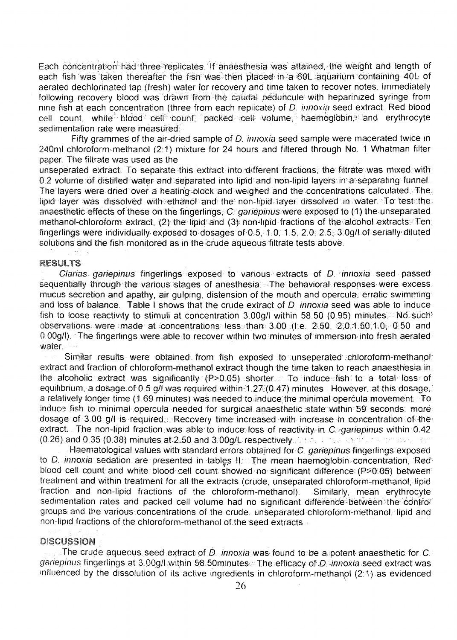Each concentration-had three-replicates. If anaesthesia was attained, the weight and length of each fish was taken thereafter the fish was then placed in a 60L aquatium containing 40L of aerated dechlorinated tap (fresh) water for recovery and time taken to recover notes. Immediately following recovery blood was drawn from the caudal peduncule with heparinized syringe from nine fish at each concentration (three from each replicate) of D. innoxia seed extract. Red blood cell count, white blood cell count; packed cell volume, haemoglobin, and erythrocyte sedimentation rate were measured:

Fifty grammes of the air-dried sample of D. innoxia seed sample were macerated twice in 240m1 chloroform-methanol (2:1) mixture for 24 hours and filtered through No. 1 Whatman filter paper. The filtrate was used as the

unseperated extract. To separate this extract into different fractions, the filtrate was mixed with 0.2 volume of distilled water and separated into lipid and non-lipid layers in a separating funnel. The layers were-dried over a heating-block and weighed and the concentrations calculated. The lipid-layer was dissolved with ethanol and the non-lipid-layer dissolved in water. To test the anaesthetic effects of these on the fingerlings, C: gariépinus were exposed to (1) the unseparated. methanol-chloroform extract, (2) the lipid and (3) non-lipid fractions of the alcohol extracts. Ten fingerlings were individually exposed to dosages'of'0.5,' 1.0: 1.5, 2.0, 2.5-, 3'.0g/I of serially' diluted solutions and the fish monitored as in the crude aqueous filtrate tests above.

#### RESULTS

Clarias gariepinus fingerlings exposed to various extracts of D. innoxia seed passed sequentially through the various stages of anesthesia. The behavioral responses were excess, mucus secretion and apathy, air gulping, distension of the mouth and opercula. erratic swimming: and loss of balance. Table I shows that the crude extract of D. innoxia seed was able to induce fish to loose reactivity to stimuli at concentration 3.00g/I within 58.50 (0.95) minutes. No such observations. were :made at concentrations less. than: 3.00 .(I.e. 2.50, 2,0,1,50;1,0; 0.50 and 0.00g/l). The fingerlings were able to recover within two minutes of immersion into fresh aerated. water.

Similar results were obtained from fish exposed to unseperated chloroform-methanol: extract and fraction of-chloroform-methanol extract though the time taken to reach anaesthesia in the alcoholic extract was significantly (P>0.05) shorter. To induce fish to a total loss of equilibrium, a dosage of 0.5 g/l was required within-1.27.(0.47) minutes. However, at this dosage, a relatively longer time (1.69 minutes) was needed to induce the minimal opercula movement. To induce fish to minimal opercula needed for surgical anaesthetic state within 59 seconds. more dosage of 3.00 g/I is required.: Recovery time' increased-with increase in concentration- of the: extract. The non-lipid fraction was able to induce loss of reactivity in Cingariepinus within 0.42.  $(0.26)$  and  $0.35$   $(0.38)$  minutes at 2.50 and 3.00g/L respectively. For a consistent and search the state of  $\sim$ 

Haematological values with standard errors obtained for C. *gariepinus fingerlings* exposed to D. innoxia-sedation are presented in tables II: The mean haemoglobin-concentration, Redblood cell count and white blood cell count showed no significant difference: (P>0.05) between: treatment and within treatment for all the extracts (crude, unseparated chloroform-methanol, lipid fraction and non-lipid fractions of the chloroform-methanol). Similarly,. mean erythrocyte sedimentation rates and packed cell volume had no significant difference between the control groups and the various concentrations of the crude, unseparated chloroform-methanol, lipid and non-lipid fractions of the chloroform-methanol of, the seed extracts.

#### DISCUSSION

The crude aqueous seed extract of  $D$  innoxia was found to be a potent-anaesthetic for  $C$ . gariepinus fingerlings at 3.00g/l within 58.50minutes. The efficacy of D.-innoxia seed extract was influenced by the dissolution of its active ingredients in chloroform-methanol (2:1) as evidenced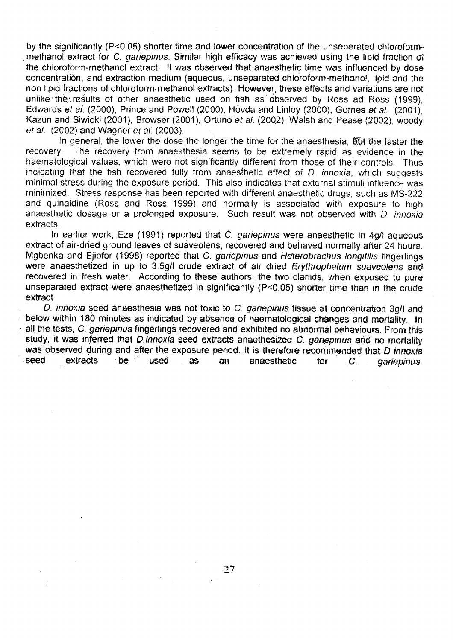by the significantly (P<0.05) shorter time and lower concentration of the unseperated chloroformmethanol extract for C. gariepinus. Similar high efficacy was achieved using the lipid fraction of the chloroform-methanol extract. It was observed that anaesthetic time was influenced by dose concentration, and extraction medium (aqueous, unseparated chloroform-methanol, lipid and the non lipid fractions of chloroform-methanol extracts). However, these effects and variations are not unlike the results of other anaesthetic used on fish as observed by Ross ad Ross (1999), Edwards et al. (2000), Prince and Powell (2000), Hovda and Linley (2000), Gomes et al. (2001), Kazun and Siwicki (2001), Browser (2001), Ortuno et al. (2002), Walsh and Pease (2002), woody et al. (2002) and Wagner et af. (2003).

In general, the lower the dose the longer the time for the anaesthesia, but the faster the recovery. The recovery from anaesthesia seems to be extremely rapid as evidence in the haematological values, which were not significantly different from those of their controls. Thus indicating that the fish recovered fully from anaesthetic effect of  $D$ , innoxia, which suggests minimal stress during the exposure period. This also indicates that external stimuli influence was minimized. Stress response has been reported with different anaesthetic drugs, such as MS-222 and quinaldine (Ross and Ross 1999) and normally is associated with exposure to high anaesthetic dosage or a prolonged exposure. Such result was not observed with D. innoxia extracts.

In earlier work, Eze (1991) reported that C. gariepinus were anaesthetic in 4g/I aqueous extract of air-dried ground leaves of suaveolens, recovered and behaved normally after 24 hours. Mgbenka and Ejiofor (1998) reported that C. gariepinus and Heterobrachus longifilis fingerlings were anaesthetized in up to 3.5g/l crude extract of air dried Erythrophelum suaveolens and recovered in fresh water. According to these authors, the two clariids, when exposed to pure unseparated extract were anaesthetized in significantly (P<0.05) shorter time than in the crude extract.

D. innoxia seed anaesthesia was not toxic to C. gariepinus tissue at concentration 3g/I and below within 180 minutes as indicated by absence of haematological changes and mortality. In all the tests, C. gariepinus fingerlings recovered and exhibited no abnormal behaviours. From this study, it was inferred that D.innoxia seed extracts anaethesized C. gariepinus and no mortality was observed during and after the exposure period. It is therefore recommended that D innoxia<br>seed extracts be used as an anaesthetic for C garieninus seed extracts be used as an anaesthetic for C. gariepinus,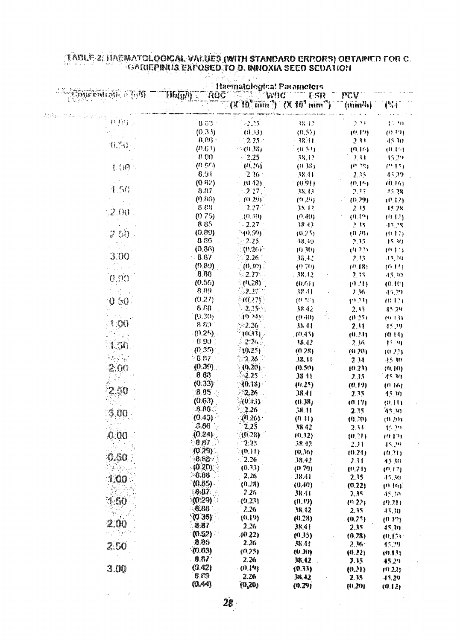|                                                                         | Haematologica! Parameters                         |                    |                                       |                              |                  |
|-------------------------------------------------------------------------|---------------------------------------------------|--------------------|---------------------------------------|------------------------------|------------------|
|                                                                         | Roc<br>$\mathbf{M}(n)$                            | ``WAC              |                                       | " ESR "" PCV                 |                  |
|                                                                         |                                                   |                    | $(X'10'' min')$ $(X'10'' min'')$ (mm) |                              |                  |
|                                                                         |                                                   |                    |                                       |                              |                  |
|                                                                         | $8.53^{\circ}$                                    | -2.25              | 38.42                                 | 2,24                         | 17.30            |
|                                                                         | (0.33)                                            | (0.3)              | (0.57)                                | (0,12)                       | (0.19)           |
| $\mathbb{R}^n$ , $\mathbb{R}^n$                                         | $R$ , $R$ f $\sim$                                | $-2.25$            | $-38.41$                              | 231                          | 45.30            |
|                                                                         | (0.61)                                            | $= (0, 43)$        | (0.51)                                | (9H)                         | (0,15)           |
|                                                                         | $\mathcal{U}(\mathcal{U})$<br>(0.5 <sup>c</sup> ) | $-2.25$<br>(0, 26) | 38.12                                 | $\mathcal{F} \in \mathbb{R}$ | 45.29            |
| 【()                                                                     | 8.91                                              | $-2.36$            | (0.38)<br>$-38, 11$                   | (0, 2)                       | (215)            |
|                                                                         | (0.82)                                            | $(0.42)$ .         | (0.91)                                | 2.35<br>(0,15)               | 45.29<br>(0.16)  |
| $\left\{ \begin{array}{c} \mathcal{E}, \mathcal{E} \end{array} \right.$ | 8.87                                              | $-2.27.$           | 38.13                                 | 7.15                         | -15.78           |
|                                                                         | (0.86)                                            | (0.29)             | (0, 29)                               | (0.29)                       | (0,1)            |
|                                                                         | 8.88                                              | $2.27 -$           | 38.42                                 | 2.15                         | 15/8             |
| 2.00                                                                    | (0.75)                                            | . (0.30)           | (0.40)                                | (0,19)                       | (0.12)           |
|                                                                         | 8.85                                              | $-2.27$            | 38.13                                 | 2.15                         | 45.78            |
| 2.50                                                                    | (0.89)                                            | ે (0.50)           | (0.25)                                | (0,70)                       | (0.17)           |
|                                                                         | $-8.36$                                           | -2.25              | 38.30                                 | 2.35                         | 15.30            |
|                                                                         | (0.86)                                            | (0.26)             | (0,30)                                | (0.22)                       | (0.1)            |
| 3.00                                                                    | $-6.67$                                           | 226                | 38.42                                 | 2,35                         | 43,40            |
|                                                                         | (0.89)                                            | $(0, W)$ .         | (0.70)                                | (1.18)                       | (0,11)           |
| កន្ទះព                                                                  | 8.86                                              | $2.27 -$           | $-38.42$                              | 2.35                         | $-15, 20$        |
|                                                                         | (0.55)                                            | (0.28)             | (0,6)                                 | (4.21)                       | (0,10)           |
|                                                                         | 8.89                                              | $\sim 2.25$        | A8 44                                 | 236                          | 45.29            |
| 50                                                                      | (0.27)                                            | - 70.22Y           | (0.55)                                | $\{0, 1, 1\}$                | (01)             |
|                                                                         | 8.88                                              | $2.25 -$           | 38.42                                 | 2.33                         | 45.29            |
| -411                                                                    | (0.20)                                            | ्तुरी स्वर्        | (0,40)                                | (0.25)                       | 40.131           |
|                                                                         | 8.80                                              | 22.26              | <b>JS 41</b>                          | 2.33                         | 45.29            |
|                                                                         | $(0.25)$ .<br>$+0.90$                             | 10.33)<br>$2.26 -$ | (0.45)                                | (0.31)                       | (0,14)           |
|                                                                         | (0.35)                                            |                    | 48.42                                 | $\sim 10$                    | 45.39            |
|                                                                         | - 8.87                                            | -(0.25)<br>$-2.26$ | (0.28)                                | (0, 20)                      | (0.23)           |
|                                                                         | (0.39)                                            | (0.20)             | 38.44                                 | 2.11                         | 45.30            |
|                                                                         | 8.83                                              | 2.25               | (0.50)<br>38 11                       | (0.23)                       | (0.10)           |
|                                                                         | (0.33)                                            | (0.18)             | (4.25)                                | 235<br>(0.19)                | 45,30            |
|                                                                         | 8.05                                              | 2.26               | 38.41                                 | 7.35                         | (0,16)<br>45, 30 |
|                                                                         | (0.63)                                            | (0,13)             | (0.38)                                | (0.17)                       | (0, 11)          |
|                                                                         | B.86.                                             | $2.26 -$           | 38.11                                 | 2.15                         | $W/2\beta$       |
| 3.00                                                                    | (0.45)                                            | (0.26)             | (0.41)                                | (0.20)                       | $\{0,20\}$       |
|                                                                         | 0.86                                              | 2.25               | 38.42                                 | 2.33                         | 15.29            |
| 0.00                                                                    | (0.24)                                            | (0.28)             | (0.32)                                | (0.21)                       | (012)            |
|                                                                         | 8.67                                              | $-2.25$            | 38.42                                 | 231                          | 45.39            |
|                                                                         | $(0.29)$ .                                        | (0, 11)            | (0.36)                                | (0.24)                       | (0.21)           |
| 0.60                                                                    | $-8.88$                                           | $-2.26$            | 38.42                                 | 2.31                         | 45.30            |
|                                                                         | $-(0.20)$                                         | (0.33)             | (0, 70)                               | (0.24)                       | (0,17)           |
| 1.00                                                                    | $-8.88$                                           | 2.26               | 38.41                                 | 2.35                         | 45.30            |
|                                                                         | (0.55)                                            | (0.28)             | (0.40)                                | (0.22)                       | (0.16)           |
|                                                                         | $-8.07$                                           | 2.26               | 18.41                                 | 2.35                         | 45.30            |
| 1.50                                                                    | (0.29)                                            | (0.23)             | (0.39)                                | (922)                        | (9.71)           |
|                                                                         | $-0.80$<br>(0.35)                                 | 2.26               | 38.12                                 | 235                          | $-15.30$         |
| $2{,}00$                                                                | 8.87                                              | (0.19)             | (0.28)                                | (0.75)                       | $(0,1^n)$        |
|                                                                         |                                                   | 2.26               | 38.41                                 | 2.15                         | 45.30            |
|                                                                         | (0.52)<br>8.95                                    | AO 22)             | (0.35)                                | (0.28)                       | (0, 1, 1)        |
| 2.50                                                                    | (0.63)                                            | 2.26<br>(0.75)     | 38 PJ                                 | $2.36 -$                     | 17.99            |
|                                                                         | B.R                                               | 2.26               | (O. 30)                               | (0.22)                       | (9, 1, 1)        |
| 3.00                                                                    | (0.42)                                            | ${1,34}$           | <b>J&amp; 12</b><br>(0.33)            | 7.15                         | 48.29            |
|                                                                         | 8.89                                              | 2.26               | 38.42                                 | (0.21)<br>2.39               | (9.22)           |
|                                                                         | (0.44)                                            | <b>(0,20)</b>      | (0.29)                                | (0.20)                       | 45,29<br>(0.12)  |
|                                                                         |                                                   |                    |                                       |                              |                  |

# TÄDLE 2: HAEMATOLOGICAL VALUES (WITH STANDARD ERPORS) OBTAINED FOR C.<br>SARIEPINUS EXPOSED TO D. INNOXIA SEED SEDATION

 $28$ 

 $\label{eq:2.1} \frac{1}{\sqrt{2}}\int_{\mathbb{R}^3}\frac{1}{\sqrt{2}}\left(\frac{1}{\sqrt{2}}\right)^2\frac{1}{\sqrt{2}}\left(\frac{1}{\sqrt{2}}\right)^2\frac{1}{\sqrt{2}}\left(\frac{1}{\sqrt{2}}\right)^2\frac{1}{\sqrt{2}}\left(\frac{1}{\sqrt{2}}\right)^2.$ 

 $\sim$